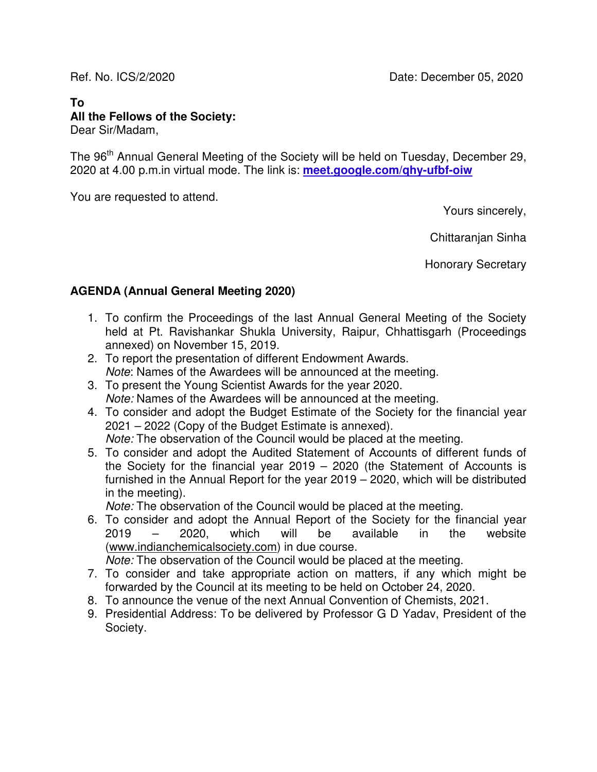# **To All the Fellows of the Society:**

Dear Sir/Madam,

The 96<sup>th</sup> Annual General Meeting of the Society will be held on Tuesday, December 29, 2020 at 4.00 p.m.in virtual mode. The link is: **meet.google.com/qhy-ufbf-oiw**

You are requested to attend.

Yours sincerely,

Chittaranjan Sinha

Honorary Secretary

### **AGENDA (Annual General Meeting 2020)**

- 1. To confirm the Proceedings of the last Annual General Meeting of the Society held at Pt. Ravishankar Shukla University, Raipur, Chhattisgarh (Proceedings annexed) on November 15, 2019.
- 2. To report the presentation of different Endowment Awards. Note: Names of the Awardees will be announced at the meeting.
- 3. To present the Young Scientist Awards for the year 2020. Note: Names of the Awardees will be announced at the meeting.
- 4. To consider and adopt the Budget Estimate of the Society for the financial year 2021 – 2022 (Copy of the Budget Estimate is annexed). Note: The observation of the Council would be placed at the meeting.
- 5. To consider and adopt the Audited Statement of Accounts of different funds of the Society for the financial year 2019 – 2020 (the Statement of Accounts is furnished in the Annual Report for the year 2019 – 2020, which will be distributed in the meeting).

Note: The observation of the Council would be placed at the meeting.

6. To consider and adopt the Annual Report of the Society for the financial year 2019 – 2020, which will be available in the website (www.indianchemicalsociety.com) in due course.

Note: The observation of the Council would be placed at the meeting.

- 7. To consider and take appropriate action on matters, if any which might be forwarded by the Council at its meeting to be held on October 24, 2020.
- 8. To announce the venue of the next Annual Convention of Chemists, 2021.
- 9. Presidential Address: To be delivered by Professor G D Yadav, President of the Society.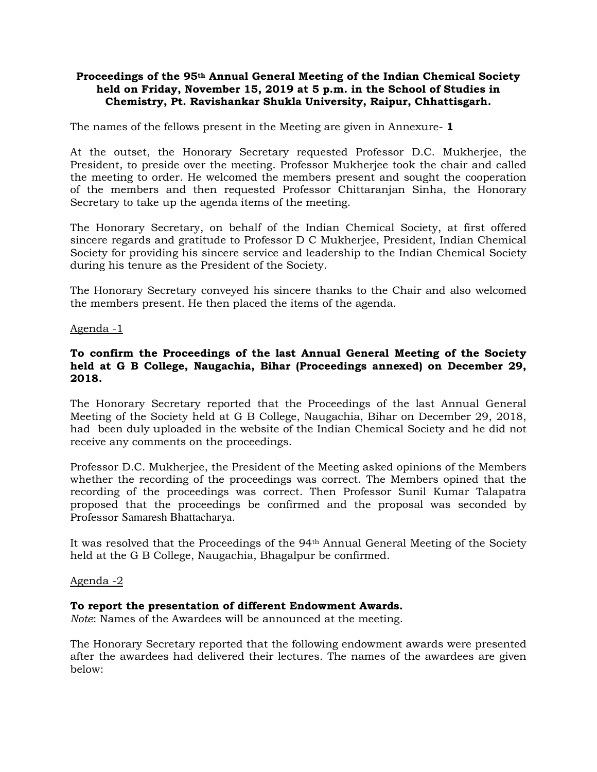#### **Proceedings of the 95th Annual General Meeting of the Indian Chemical Society held on Friday, November 15, 2019 at 5 p.m. in the School of Studies in Chemistry, Pt. Ravishankar Shukla University, Raipur, Chhattisgarh.**

The names of the fellows present in the Meeting are given in Annexure- **1**

At the outset, the Honorary Secretary requested Professor D.C. Mukherjee, the President, to preside over the meeting. Professor Mukherjee took the chair and called the meeting to order. He welcomed the members present and sought the cooperation of the members and then requested Professor Chittaranjan Sinha, the Honorary Secretary to take up the agenda items of the meeting.

The Honorary Secretary, on behalf of the Indian Chemical Society, at first offered sincere regards and gratitude to Professor D C Mukherjee, President, Indian Chemical Society for providing his sincere service and leadership to the Indian Chemical Society during his tenure as the President of the Society.

The Honorary Secretary conveyed his sincere thanks to the Chair and also welcomed the members present. He then placed the items of the agenda.

#### Agenda -1

#### **To confirm the Proceedings of the last Annual General Meeting of the Society held at G B College, Naugachia, Bihar (Proceedings annexed) on December 29, 2018.**

The Honorary Secretary reported that the Proceedings of the last Annual General Meeting of the Society held at G B College, Naugachia, Bihar on December 29, 2018, had been duly uploaded in the website of the Indian Chemical Society and he did not receive any comments on the proceedings.

Professor D.C. Mukherjee, the President of the Meeting asked opinions of the Members whether the recording of the proceedings was correct. The Members opined that the recording of the proceedings was correct. Then Professor Sunil Kumar Talapatra proposed that the proceedings be confirmed and the proposal was seconded by Professor Samaresh Bhattacharya.

It was resolved that the Proceedings of the 94th Annual General Meeting of the Society held at the G B College, Naugachia, Bhagalpur be confirmed.

#### Agenda -2

#### **To report the presentation of different Endowment Awards.**

*Note*: Names of the Awardees will be announced at the meeting.

The Honorary Secretary reported that the following endowment awards were presented after the awardees had delivered their lectures. The names of the awardees are given below: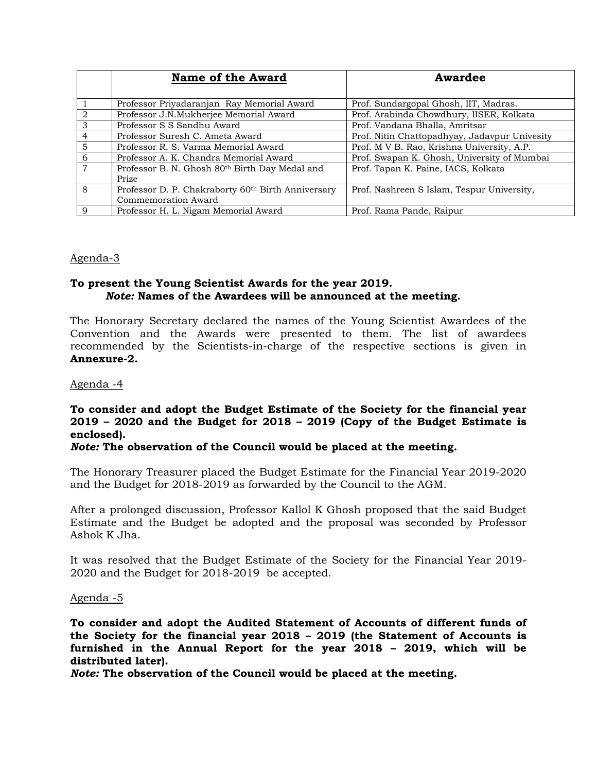|                | <b>Name of the Award</b>                                       | Awardee                                       |
|----------------|----------------------------------------------------------------|-----------------------------------------------|
|                | Professor Priyadaranjan Ray Memorial Award                     | Prof. Sundargopal Ghosh, IIT, Madras.         |
| $\mathcal{D}$  | Professor J.N.Mukherjee Memorial Award                         | Prof. Arabinda Chowdhury, IISER, Kolkata      |
| $\mathcal{S}$  | Professor S S Sandhu Award                                     | Prof. Vandana Bhalla, Amritsar                |
| $\overline{4}$ | Professor Suresh C. Ameta Award                                | Prof. Nitin Chattopadhyay, Jadavpur Univesity |
| 5              | Professor R. S. Varma Memorial Award                           | Prof. M V B. Rao, Krishna University, A.P.    |
| 6              | Professor A. K. Chandra Memorial Award                         | Prof. Swapan K. Ghosh, University of Mumbai   |
| $\overline{7}$ | Professor B. N. Ghosh 80th Birth Day Medal and                 | Prof. Tapan K. Paine, IACS, Kolkata           |
|                | Prize                                                          |                                               |
| 8              | Professor D. P. Chakraborty 60 <sup>th</sup> Birth Anniversary | Prof. Nashreen S Islam, Tespur University,    |
|                | Commemoration Award                                            |                                               |
| <sup>Q</sup>   | Professor H. L. Nigam Memorial Award                           | Prof. Rama Pande, Raipur                      |

#### Agenda-3

#### **To present the Young Scientist Awards for the year 2019.**  *Note:* **Names of the Awardees will be announced at the meeting.**

The Honorary Secretary declared the names of the Young Scientist Awardees of the Convention and the Awards were presented to them. The list of awardees recommended by the Scientists-in-charge of the respective sections is given in **Annexure-2.** 

Agenda -4

### **To consider and adopt the Budget Estimate of the Society for the financial year 2019 – 2020 and the Budget for 2018 – 2019 (Copy of the Budget Estimate is enclosed).**

#### *Note:* **The observation of the Council would be placed at the meeting.**

The Honorary Treasurer placed the Budget Estimate for the Financial Year 2019-2020 and the Budget for 2018-2019 as forwarded by the Council to the AGM.

After a prolonged discussion, Professor Kallol K Ghosh proposed that the said Budget Estimate and the Budget be adopted and the proposal was seconded by Professor Ashok K Jha.

It was resolved that the Budget Estimate of the Society for the Financial Year 2019- 2020 and the Budget for 2018-2019 be accepted.

#### Agenda -5

**To consider and adopt the Audited Statement of Accounts of different funds of the Society for the financial year 2018 – 2019 (the Statement of Accounts is furnished in the Annual Report for the year 2018 – 2019, which will be distributed later).** 

*Note:* **The observation of the Council would be placed at the meeting.**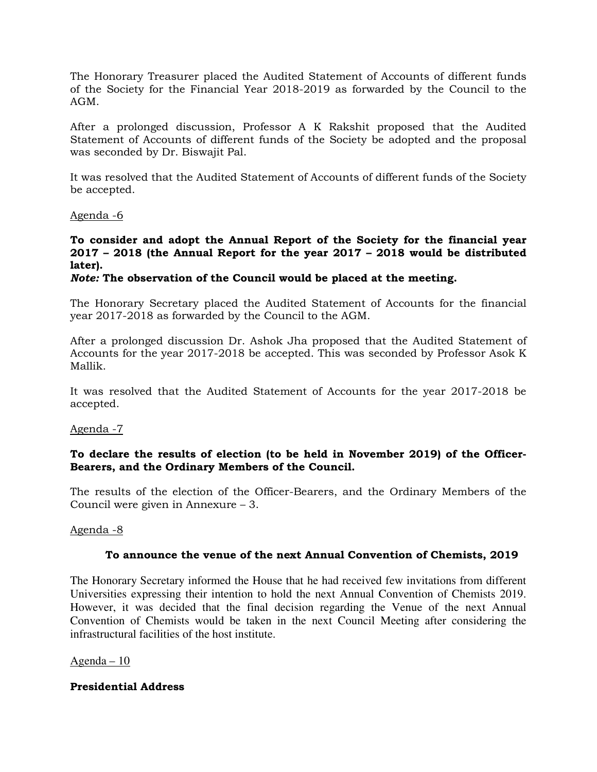The Honorary Treasurer placed the Audited Statement of Accounts of different funds of the Society for the Financial Year 2018-2019 as forwarded by the Council to the AGM.

After a prolonged discussion, Professor A K Rakshit proposed that the Audited Statement of Accounts of different funds of the Society be adopted and the proposal was seconded by Dr. Biswajit Pal.

It was resolved that the Audited Statement of Accounts of different funds of the Society be accepted.

#### Agenda -6

#### **To consider and adopt the Annual Report of the Society for the financial year 2017 – 2018 (the Annual Report for the year 2017 – 2018 would be distributed later).**

#### *Note:* **The observation of the Council would be placed at the meeting.**

The Honorary Secretary placed the Audited Statement of Accounts for the financial year 2017-2018 as forwarded by the Council to the AGM.

After a prolonged discussion Dr. Ashok Jha proposed that the Audited Statement of Accounts for the year 2017-2018 be accepted. This was seconded by Professor Asok K Mallik.

It was resolved that the Audited Statement of Accounts for the year 2017-2018 be accepted.

#### Agenda -7

#### **To declare the results of election (to be held in November 2019) of the Officer-Bearers, and the Ordinary Members of the Council.**

The results of the election of the Officer-Bearers, and the Ordinary Members of the Council were given in Annexure – 3.

#### Agenda -8

#### **To announce the venue of the next Annual Convention of Chemists, 2019**

The Honorary Secretary informed the House that he had received few invitations from different Universities expressing their intention to hold the next Annual Convention of Chemists 2019. However, it was decided that the final decision regarding the Venue of the next Annual Convention of Chemists would be taken in the next Council Meeting after considering the infrastructural facilities of the host institute.

#### Agenda – 10

#### **Presidential Address**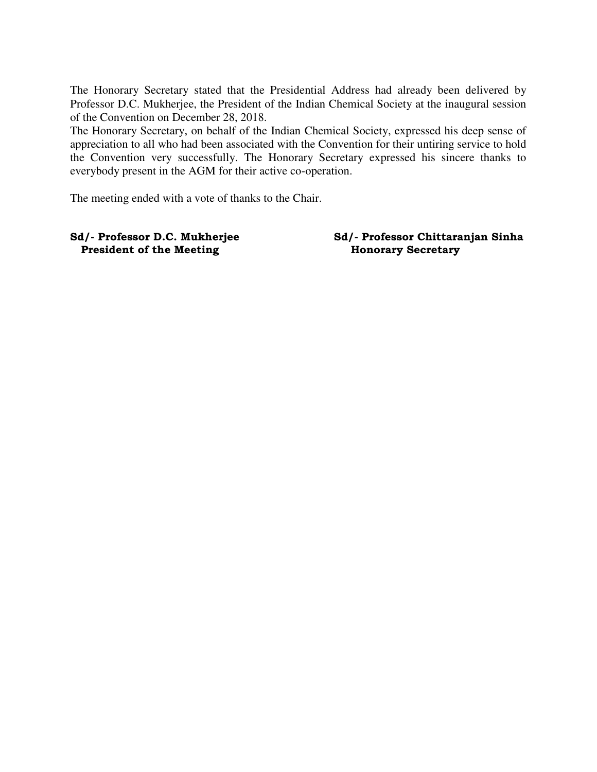The Honorary Secretary stated that the Presidential Address had already been delivered by Professor D.C. Mukherjee, the President of the Indian Chemical Society at the inaugural session of the Convention on December 28, 2018.

The Honorary Secretary, on behalf of the Indian Chemical Society, expressed his deep sense of appreciation to all who had been associated with the Convention for their untiring service to hold the Convention very successfully. The Honorary Secretary expressed his sincere thanks to everybody present in the AGM for their active co-operation.

The meeting ended with a vote of thanks to the Chair.

**President of the Meeting The Honorary Secretary** 

**Sd/- Professor D.C. Mukherjee Sd/- Professor Chittaranjan Sinha**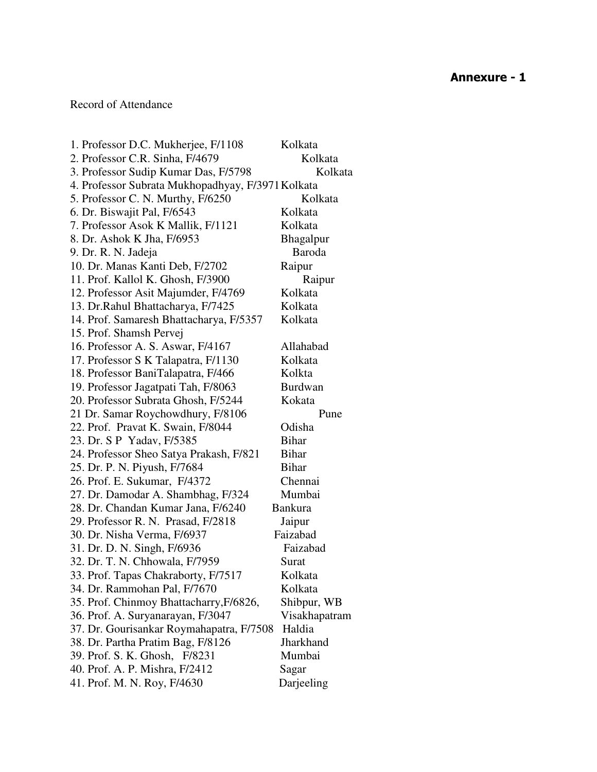### Record of Attendance

| 1. Professor D.C. Mukherjee, F/1108               | Kolkata          |
|---------------------------------------------------|------------------|
| 2. Professor C.R. Sinha, F/4679                   | Kolkata          |
| 3. Professor Sudip Kumar Das, F/5798              | Kolkata          |
| 4. Professor Subrata Mukhopadhyay, F/3971 Kolkata |                  |
| 5. Professor C. N. Murthy, F/6250                 | Kolkata          |
| 6. Dr. Biswajit Pal, F/6543                       | Kolkata          |
| 7. Professor Asok K Mallik, F/1121                | Kolkata          |
| 8. Dr. Ashok K Jha, F/6953                        | <b>Bhagalpur</b> |
| 9. Dr. R. N. Jadeja                               | <b>Baroda</b>    |
| 10. Dr. Manas Kanti Deb, F/2702                   | Raipur           |
| 11. Prof. Kallol K. Ghosh, F/3900                 | Raipur           |
| 12. Professor Asit Majumder, F/4769               | Kolkata          |
| 13. Dr.Rahul Bhattacharya, F/7425                 | Kolkata          |
| 14. Prof. Samaresh Bhattacharya, F/5357           | Kolkata          |
| 15. Prof. Shamsh Pervej                           |                  |
| 16. Professor A. S. Aswar, F/4167                 | Allahabad        |
| 17. Professor S K Talapatra, F/1130               | Kolkata          |
| 18. Professor BaniTalapatra, F/466                | Kolkta           |
| 19. Professor Jagatpati Tah, F/8063               | <b>Burdwan</b>   |
| 20. Professor Subrata Ghosh, F/5244               | Kokata           |
| 21 Dr. Samar Roychowdhury, F/8106                 | Pune             |
| 22. Prof. Pravat K. Swain, F/8044                 | Odisha           |
| 23. Dr. S P Yadav, F/5385                         | <b>Bihar</b>     |
| 24. Professor Sheo Satya Prakash, F/821           | <b>Bihar</b>     |
| 25. Dr. P. N. Piyush, F/7684                      | <b>Bihar</b>     |
| 26. Prof. E. Sukumar, F/4372                      | Chennai          |
| 27. Dr. Damodar A. Shambhag, F/324                | Mumbai           |
| 28. Dr. Chandan Kumar Jana, F/6240                | <b>Bankura</b>   |
| 29. Professor R. N. Prasad, F/2818                | Jaipur           |
| 30. Dr. Nisha Verma, F/6937                       | Faizabad         |
| 31. Dr. D. N. Singh, F/6936                       | Faizabad         |
| 32. Dr. T. N. Chhowala, F/7959                    | Surat            |
| 33. Prof. Tapas Chakraborty, F/7517               | Kolkata          |
| 34. Dr. Rammohan Pal, F/7670                      | Kolkata          |
| 35. Prof. Chinmoy Bhattacharry, F/6826,           | Shibpur, WB      |
| 36. Prof. A. Suryanarayan, F/3047                 | Visakhapatram    |
| 37. Dr. Gourisankar Roymahapatra, F/7508          | Haldia           |
| 38. Dr. Partha Pratim Bag, F/8126                 | Jharkhand        |
| 39. Prof. S. K. Ghosh, F/8231                     | Mumbai           |
| 40. Prof. A. P. Mishra, F/2412                    | Sagar            |
| 41. Prof. M. N. Roy, F/4630                       | Darjeeling       |
|                                                   |                  |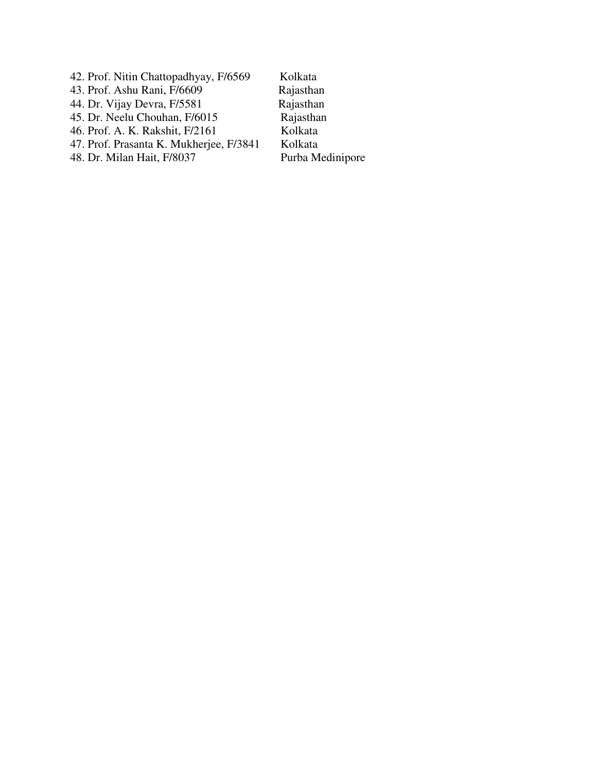42. Prof. Nitin Chattopadhyay, F/6569 Kolkata<br>43. Prof. Ashu Rani, F/6609 Rajasthan 43. Prof. Ashu Rani, F/6609 Rajasthan<br>44. Dr. Vijay Devra, F/5581 Rajasthan 44. Dr. Vijay Devra, F/5581 Rajasthan<br>45. Dr. Neelu Chouhan, F/6015 Rajasthan 45. Dr. Neelu Chouhan, F/6015 Rajastha<br>46. Prof. A. K. Rakshit, F/2161 Kolkata 46. Prof. A. K. Rakshit, F/2161 47. Prof. Prasanta K. Mukherjee, F/3841 Kolkata<br>48. Dr. Milan Hait, F/8037 Purba Medinipore 48. Dr. Milan Hait, F/8037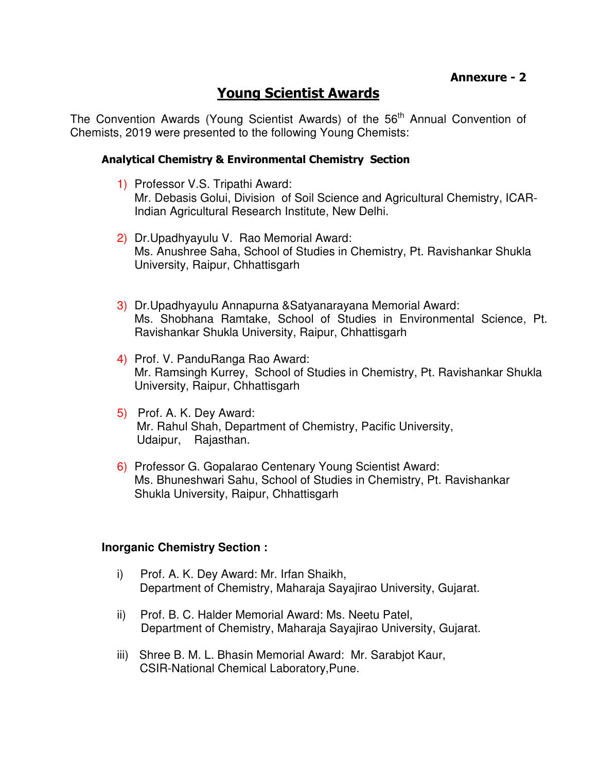# **Young Scientist Awards**

The Convention Awards (Young Scientist Awards) of the 56<sup>th</sup> Annual Convention of Chemists, 2019 were presented to the following Young Chemists:

### **Analytical Chemistry & Environmental Chemistry Section**

- 1) Professor V.S. Tripathi Award: Mr. Debasis Golui, Division of Soil Science and Agricultural Chemistry, ICAR-Indian Agricultural Research Institute, New Delhi.
- 2) Dr.Upadhyayulu V. Rao Memorial Award: Ms. Anushree Saha, School of Studies in Chemistry, Pt. Ravishankar Shukla University, Raipur, Chhattisgarh
- 3) Dr.Upadhyayulu Annapurna &Satyanarayana Memorial Award: Ms. Shobhana Ramtake, School of Studies in Environmental Science, Pt. Ravishankar Shukla University, Raipur, Chhattisgarh
- 4) Prof. V. PanduRanga Rao Award: Mr. Ramsingh Kurrey, School of Studies in Chemistry, Pt. Ravishankar Shukla University, Raipur, Chhattisgarh
- 5) Prof. A. K. Dey Award: Mr. Rahul Shah, Department of Chemistry, Pacific University, Udaipur, Rajasthan.
- 6) Professor G. Gopalarao Centenary Young Scientist Award: Ms. Bhuneshwari Sahu, School of Studies in Chemistry, Pt. Ravishankar Shukla University, Raipur, Chhattisgarh

#### **Inorganic Chemistry Section :**

- i) Prof. A. K. Dey Award: Mr. Irfan Shaikh, Department of Chemistry, Maharaja Sayajirao University, Gujarat.
- ii) Prof. B. C. Halder Memorial Award: Ms. Neetu Patel, Department of Chemistry, Maharaja Sayajirao University, Gujarat.
- iii) Shree B. M. L. Bhasin Memorial Award: Mr. Sarabjot Kaur, CSIR-National Chemical Laboratory,Pune.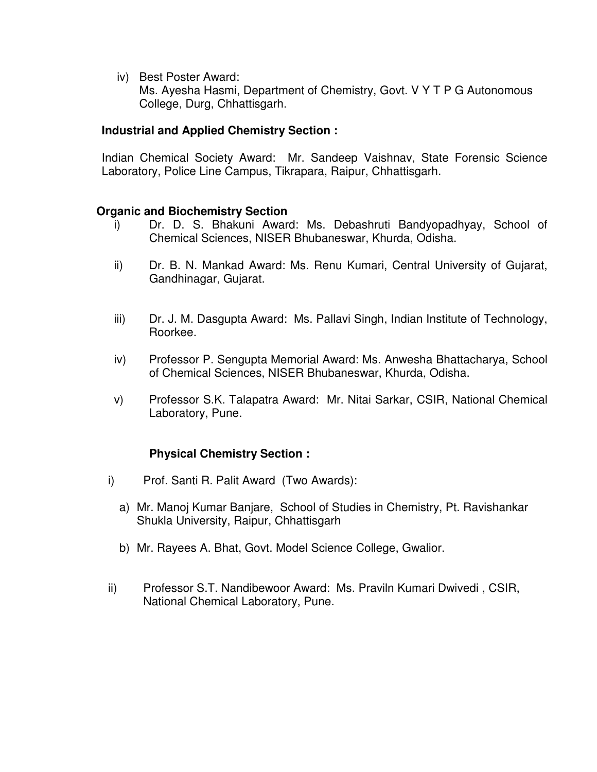iv) Best Poster Award:

Ms. Ayesha Hasmi, Department of Chemistry, Govt. V Y T P G Autonomous College, Durg, Chhattisgarh.

### **Industrial and Applied Chemistry Section :**

Indian Chemical Society Award: Mr. Sandeep Vaishnav, State Forensic Science Laboratory, Police Line Campus, Tikrapara, Raipur, Chhattisgarh.

### **Organic and Biochemistry Section**

- i) Dr. D. S. Bhakuni Award: Ms. Debashruti Bandyopadhyay, School of Chemical Sciences, NISER Bhubaneswar, Khurda, Odisha.
- ii) Dr. B. N. Mankad Award: Ms. Renu Kumari, Central University of Gujarat, Gandhinagar, Gujarat.
- iii) Dr. J. M. Dasgupta Award: Ms. Pallavi Singh, Indian Institute of Technology, Roorkee.
- iv) Professor P. Sengupta Memorial Award: Ms. Anwesha Bhattacharya, School of Chemical Sciences, NISER Bhubaneswar, Khurda, Odisha.
- v) Professor S.K. Talapatra Award: Mr. Nitai Sarkar, CSIR, National Chemical Laboratory, Pune.

### **Physical Chemistry Section :**

- i) Prof. Santi R. Palit Award (Two Awards):
	- a) Mr. Manoj Kumar Banjare, School of Studies in Chemistry, Pt. Ravishankar Shukla University, Raipur, Chhattisgarh
	- b) Mr. Rayees A. Bhat, Govt. Model Science College, Gwalior.
- ii) Professor S.T. Nandibewoor Award: Ms. Praviln Kumari Dwivedi , CSIR, National Chemical Laboratory, Pune.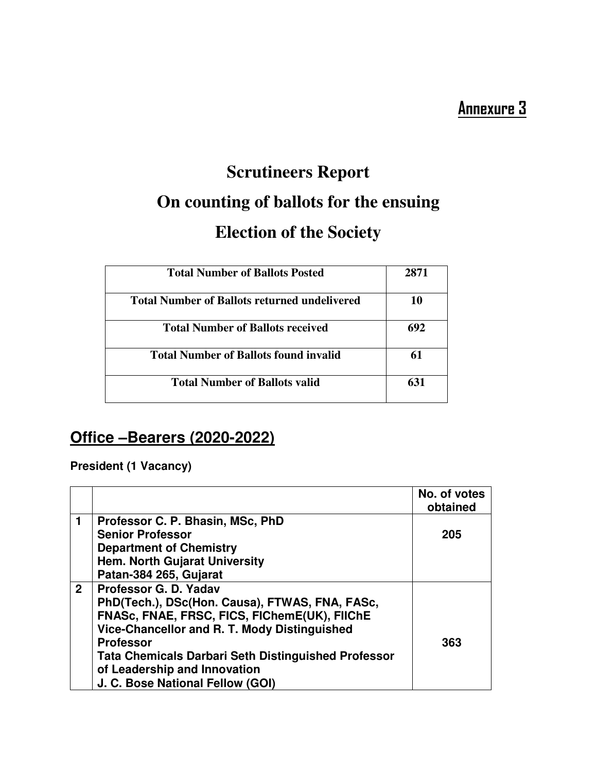# **Scrutineers Report On counting of ballots for the ensuing Election of the Society**

| <b>Total Number of Ballots Posted</b>               | 2871 |
|-----------------------------------------------------|------|
| <b>Total Number of Ballots returned undelivered</b> | 10   |
| <b>Total Number of Ballots received</b>             | 692  |
| <b>Total Number of Ballots found invalid</b>        | 61   |
| <b>Total Number of Ballots valid</b>                | 631  |

# **Office –Bearers (2020-2022)**

**President (1 Vacancy)** 

|              |                                                            | No. of votes<br>obtained |
|--------------|------------------------------------------------------------|--------------------------|
| 1.           | Professor C. P. Bhasin, MSc, PhD                           |                          |
|              | <b>Senior Professor</b>                                    | 205                      |
|              | <b>Department of Chemistry</b>                             |                          |
|              | <b>Hem. North Gujarat University</b>                       |                          |
|              | Patan-384 265, Gujarat                                     |                          |
| $\mathbf{2}$ | Professor G. D. Yadav                                      |                          |
|              | PhD(Tech.), DSc(Hon. Causa), FTWAS, FNA, FASc,             |                          |
|              | FNASc, FNAE, FRSC, FICS, FIChemE(UK), FIIChE               |                          |
|              | Vice-Chancellor and R. T. Mody Distinguished               |                          |
|              | <b>Professor</b>                                           | 363                      |
|              | <b>Tata Chemicals Darbari Seth Distinguished Professor</b> |                          |
|              | of Leadership and Innovation                               |                          |
|              | J. C. Bose National Fellow (GOI)                           |                          |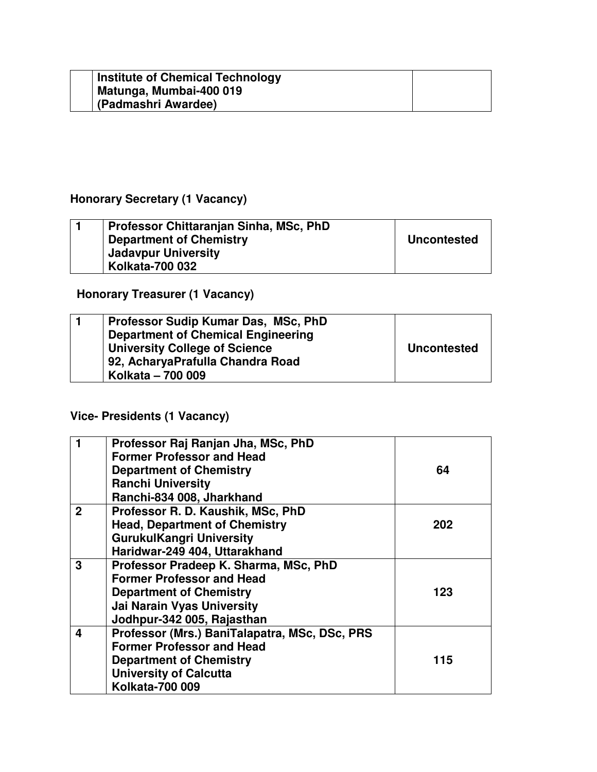| <b>Institute of Chemical Technology</b><br>Matunga, Mumbai-400 019 |  |
|--------------------------------------------------------------------|--|
| (Padmashri Awardee)                                                |  |

# **Honorary Secretary (1 Vacancy)**

| Professor Chittaranjan Sinha, MSc, PhD |                    |
|----------------------------------------|--------------------|
| <b>Department of Chemistry</b>         | <b>Uncontested</b> |
| <b>Jadavpur University</b>             |                    |
| <b>Kolkata-700 032</b>                 |                    |

# **Honorary Treasurer (1 Vacancy)**

| Professor Sudip Kumar Das, MSc, PhD<br><b>Department of Chemical Engineering</b><br><b>University College of Science</b><br>92, AcharyaPrafulla Chandra Road | <b>Uncontested</b> |
|--------------------------------------------------------------------------------------------------------------------------------------------------------------|--------------------|
| Kolkata - 700 009                                                                                                                                            |                    |

# **Vice- Presidents (1 Vacancy)**

|              | Professor Raj Ranjan Jha, MSc, PhD            |     |
|--------------|-----------------------------------------------|-----|
|              | <b>Former Professor and Head</b>              |     |
|              |                                               |     |
|              | <b>Department of Chemistry</b>                | 64  |
|              | <b>Ranchi University</b>                      |     |
|              | Ranchi-834 008, Jharkhand                     |     |
| $\mathbf{2}$ | Professor R. D. Kaushik, MSc, PhD             |     |
|              | <b>Head, Department of Chemistry</b>          | 202 |
|              | <b>GurukulKangri University</b>               |     |
|              | Haridwar-249 404, Uttarakhand                 |     |
| 3            | Professor Pradeep K. Sharma, MSc, PhD         |     |
|              | <b>Former Professor and Head</b>              |     |
|              | <b>Department of Chemistry</b>                | 123 |
|              | <b>Jai Narain Vyas University</b>             |     |
|              | Jodhpur-342 005, Rajasthan                    |     |
| 4            | Professor (Mrs.) BaniTalapatra, MSc, DSc, PRS |     |
|              | <b>Former Professor and Head</b>              |     |
|              | <b>Department of Chemistry</b>                | 115 |
|              | <b>University of Calcutta</b>                 |     |
|              | <b>Kolkata-700 009</b>                        |     |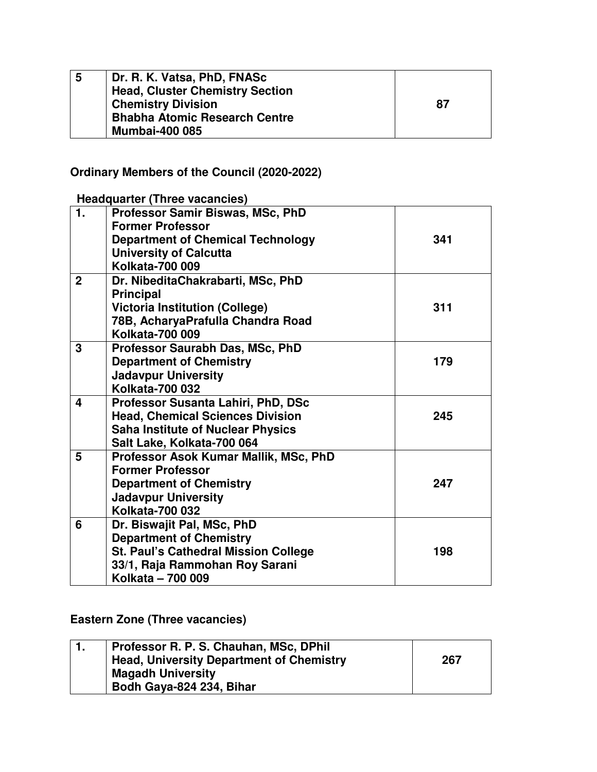| 5 | Dr. R. K. Vatsa, PhD, FNASc          |    |
|---|--------------------------------------|----|
|   | Head, Cluster Chemistry Section      |    |
|   | <b>Chemistry Division</b>            | 87 |
|   | <b>Bhabha Atomic Research Centre</b> |    |
|   | <b>Mumbai-400 085</b>                |    |

# **Ordinary Members of the Council (2020-2022)**

 **Headquarter (Three vacancies)** 

| 1.           | <b>Professor Samir Biswas, MSc, PhD</b><br><b>Former Professor</b><br><b>Department of Chemical Technology</b><br><b>University of Calcutta</b>                    | 341 |
|--------------|--------------------------------------------------------------------------------------------------------------------------------------------------------------------|-----|
|              | <b>Kolkata-700 009</b>                                                                                                                                             |     |
| $\mathbf{2}$ | Dr. NibeditaChakrabarti, MSc, PhD<br><b>Principal</b>                                                                                                              |     |
|              | <b>Victoria Institution (College)</b><br>78B, AcharyaPrafulla Chandra Road<br><b>Kolkata-700 009</b>                                                               | 311 |
| 3            | Professor Saurabh Das, MSc, PhD<br><b>Department of Chemistry</b><br><b>Jadavpur University</b><br>Kolkata-700 032                                                 | 179 |
| 4            | Professor Susanta Lahiri, PhD, DSc<br><b>Head, Chemical Sciences Division</b><br><b>Saha Institute of Nuclear Physics</b><br>Salt Lake, Kolkata-700 064            | 245 |
| 5            | Professor Asok Kumar Mallik, MSc, PhD<br><b>Former Professor</b><br><b>Department of Chemistry</b><br><b>Jadavpur University</b><br>Kolkata-700 032                | 247 |
| 6            | Dr. Biswajit Pal, MSc, PhD<br><b>Department of Chemistry</b><br><b>St. Paul's Cathedral Mission College</b><br>33/1, Raja Rammohan Roy Sarani<br>Kolkata - 700 009 | 198 |

### **Eastern Zone (Three vacancies)**

| Professor R. P. S. Chauhan, MSc, DPhil          |     |
|-------------------------------------------------|-----|
| <b>Head, University Department of Chemistry</b> | 267 |
| <b>Magadh University</b>                        |     |
| Bodh Gaya-824 234, Bihar                        |     |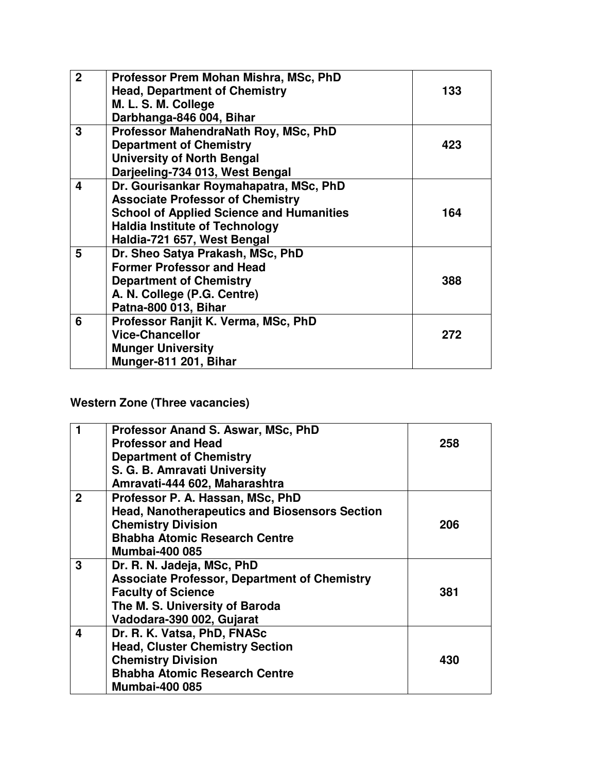| $\overline{2}$ | Professor Prem Mohan Mishra, MSc, PhD           |     |
|----------------|-------------------------------------------------|-----|
|                | <b>Head, Department of Chemistry</b>            | 133 |
|                | M. L. S. M. College                             |     |
|                | Darbhanga-846 004, Bihar                        |     |
| 3              | Professor MahendraNath Roy, MSc, PhD            |     |
|                | <b>Department of Chemistry</b>                  | 423 |
|                | <b>University of North Bengal</b>               |     |
|                | Darjeeling-734 013, West Bengal                 |     |
| 4              | Dr. Gourisankar Roymahapatra, MSc, PhD          |     |
|                | <b>Associate Professor of Chemistry</b>         |     |
|                | <b>School of Applied Science and Humanities</b> | 164 |
|                | <b>Haldia Institute of Technology</b>           |     |
|                | Haldia-721 657, West Bengal                     |     |
| 5              | Dr. Sheo Satya Prakash, MSc, PhD                |     |
|                | <b>Former Professor and Head</b>                |     |
|                | <b>Department of Chemistry</b>                  | 388 |
|                | A. N. College (P.G. Centre)                     |     |
|                | Patna-800 013, Bihar                            |     |
| 6              | Professor Ranjit K. Verma, MSc, PhD             |     |
|                | <b>Vice-Chancellor</b>                          | 272 |
|                | <b>Munger University</b>                        |     |
|                | Munger-811 201, Bihar                           |     |

# **Western Zone (Three vacancies)**

|                | Professor Anand S. Aswar, MSc, PhD                   |     |
|----------------|------------------------------------------------------|-----|
|                | <b>Professor and Head</b>                            | 258 |
|                | <b>Department of Chemistry</b>                       |     |
|                | S. G. B. Amravati University                         |     |
|                | Amravati-444 602, Maharashtra                        |     |
| $\overline{2}$ | Professor P. A. Hassan, MSc, PhD                     |     |
|                | <b>Head, Nanotherapeutics and Biosensors Section</b> |     |
|                | <b>Chemistry Division</b>                            | 206 |
|                | <b>Bhabha Atomic Research Centre</b>                 |     |
|                | <b>Mumbai-400 085</b>                                |     |
| 3              | Dr. R. N. Jadeja, MSc, PhD                           |     |
|                | <b>Associate Professor, Department of Chemistry</b>  |     |
|                | <b>Faculty of Science</b>                            | 381 |
|                | The M. S. University of Baroda                       |     |
|                | Vadodara-390 002, Gujarat                            |     |
| 4              | Dr. R. K. Vatsa, PhD, FNASc                          |     |
|                | <b>Head, Cluster Chemistry Section</b>               |     |
|                | <b>Chemistry Division</b>                            | 430 |
|                | <b>Bhabha Atomic Research Centre</b>                 |     |
|                | <b>Mumbai-400 085</b>                                |     |